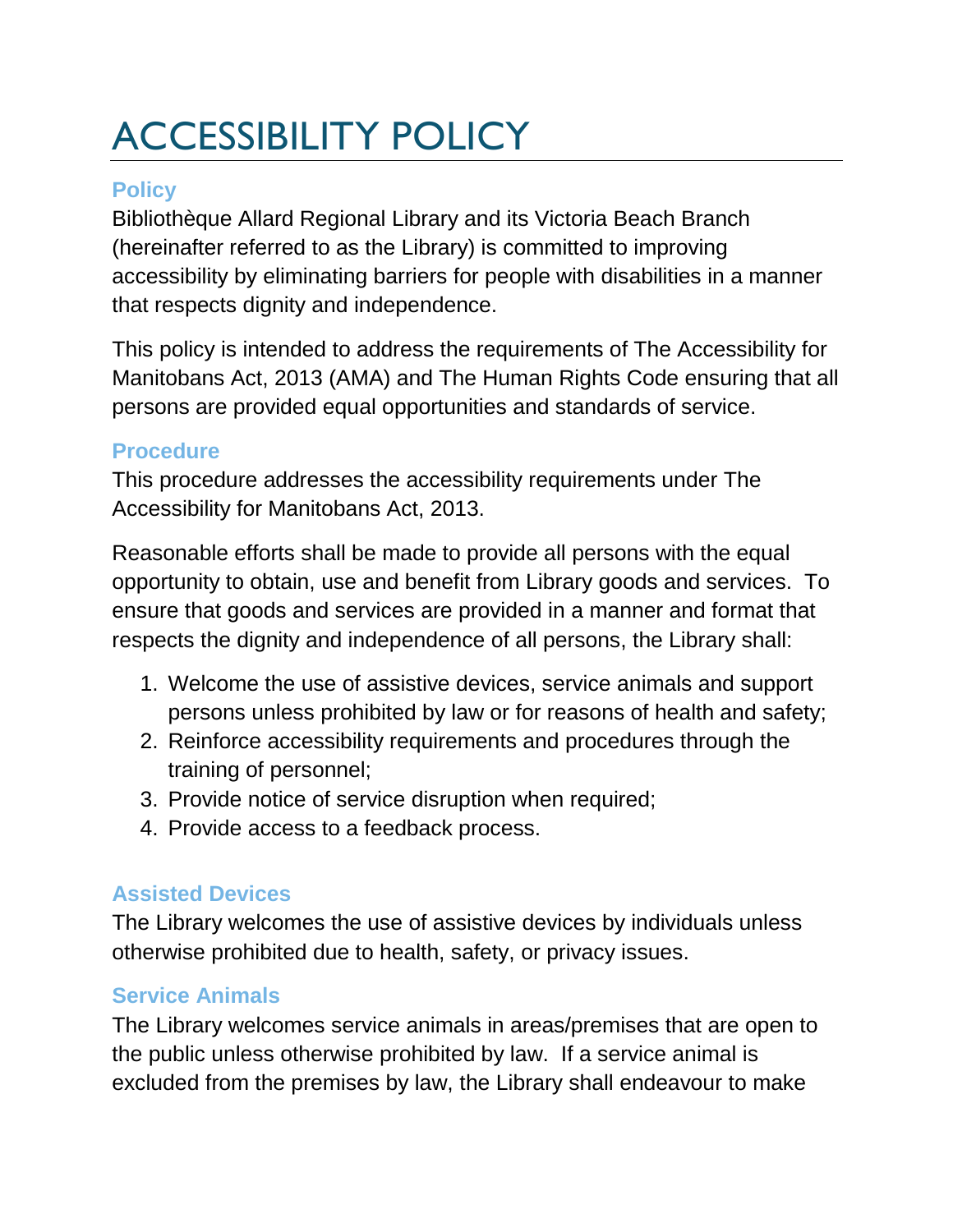# ACCESSIBILITY POLICY

# **Policy**

Bibliothèque Allard Regional Library and its Victoria Beach Branch (hereinafter referred to as the Library) is committed to improving accessibility by eliminating barriers for people with disabilities in a manner that respects dignity and independence.

This policy is intended to address the requirements of The Accessibility for Manitobans Act, 2013 (AMA) and The Human Rights Code ensuring that all persons are provided equal opportunities and standards of service.

## **Procedure**

This procedure addresses the accessibility requirements under The Accessibility for Manitobans Act, 2013.

Reasonable efforts shall be made to provide all persons with the equal opportunity to obtain, use and benefit from Library goods and services. To ensure that goods and services are provided in a manner and format that respects the dignity and independence of all persons, the Library shall:

- 1. Welcome the use of assistive devices, service animals and support persons unless prohibited by law or for reasons of health and safety;
- 2. Reinforce accessibility requirements and procedures through the training of personnel;
- 3. Provide notice of service disruption when required;
- 4. Provide access to a feedback process.

# **Assisted Devices**

The Library welcomes the use of assistive devices by individuals unless otherwise prohibited due to health, safety, or privacy issues.

# **Service Animals**

The Library welcomes service animals in areas/premises that are open to the public unless otherwise prohibited by law. If a service animal is excluded from the premises by law, the Library shall endeavour to make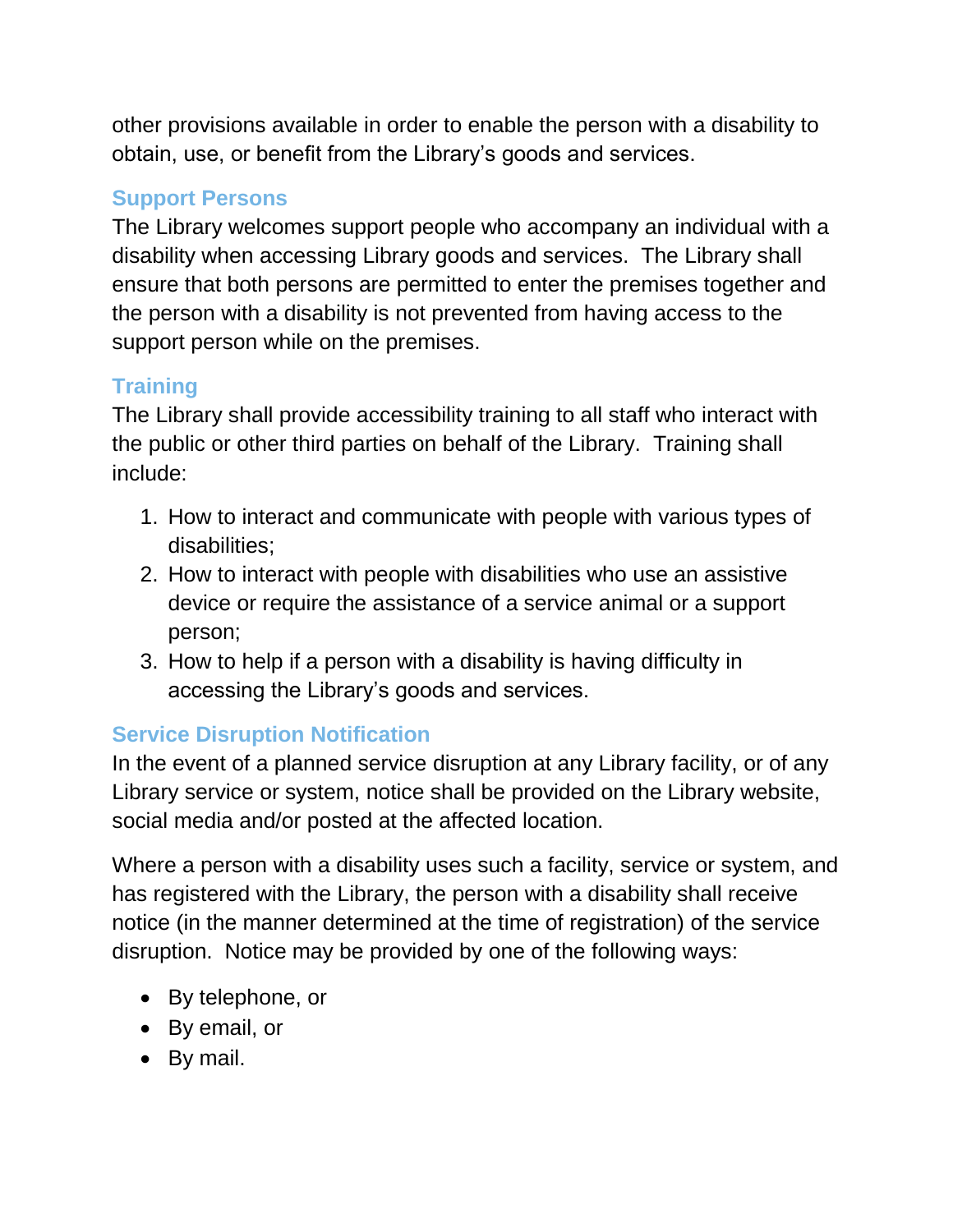other provisions available in order to enable the person with a disability to obtain, use, or benefit from the Library's goods and services.

# **Support Persons**

The Library welcomes support people who accompany an individual with a disability when accessing Library goods and services. The Library shall ensure that both persons are permitted to enter the premises together and the person with a disability is not prevented from having access to the support person while on the premises.

# **Training**

The Library shall provide accessibility training to all staff who interact with the public or other third parties on behalf of the Library. Training shall include:

- 1. How to interact and communicate with people with various types of disabilities;
- 2. How to interact with people with disabilities who use an assistive device or require the assistance of a service animal or a support person;
- 3. How to help if a person with a disability is having difficulty in accessing the Library's goods and services.

# **Service Disruption Notification**

In the event of a planned service disruption at any Library facility, or of any Library service or system, notice shall be provided on the Library website, social media and/or posted at the affected location.

Where a person with a disability uses such a facility, service or system, and has registered with the Library, the person with a disability shall receive notice (in the manner determined at the time of registration) of the service disruption. Notice may be provided by one of the following ways:

- By telephone, or
- By email, or
- By mail.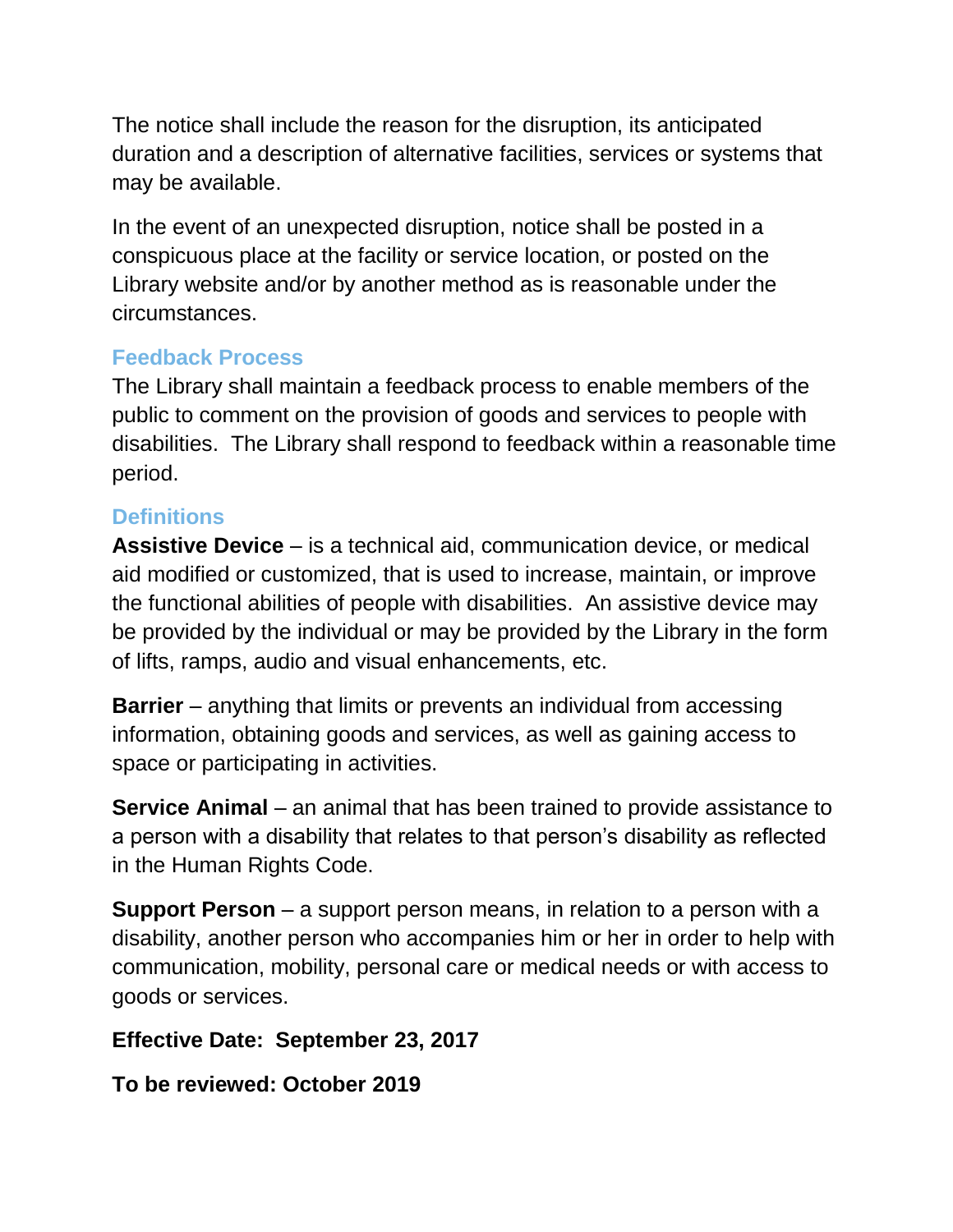The notice shall include the reason for the disruption, its anticipated duration and a description of alternative facilities, services or systems that may be available.

In the event of an unexpected disruption, notice shall be posted in a conspicuous place at the facility or service location, or posted on the Library website and/or by another method as is reasonable under the circumstances.

# **Feedback Process**

The Library shall maintain a feedback process to enable members of the public to comment on the provision of goods and services to people with disabilities. The Library shall respond to feedback within a reasonable time period.

#### **Definitions**

**Assistive Device** – is a technical aid, communication device, or medical aid modified or customized, that is used to increase, maintain, or improve the functional abilities of people with disabilities. An assistive device may be provided by the individual or may be provided by the Library in the form of lifts, ramps, audio and visual enhancements, etc.

**Barrier** – anything that limits or prevents an individual from accessing information, obtaining goods and services, as well as gaining access to space or participating in activities.

**Service Animal** – an animal that has been trained to provide assistance to a person with a disability that relates to that person's disability as reflected in the Human Rights Code.

**Support Person** – a support person means, in relation to a person with a disability, another person who accompanies him or her in order to help with communication, mobility, personal care or medical needs or with access to goods or services.

## **Effective Date: September 23, 2017**

**To be reviewed: October 2019**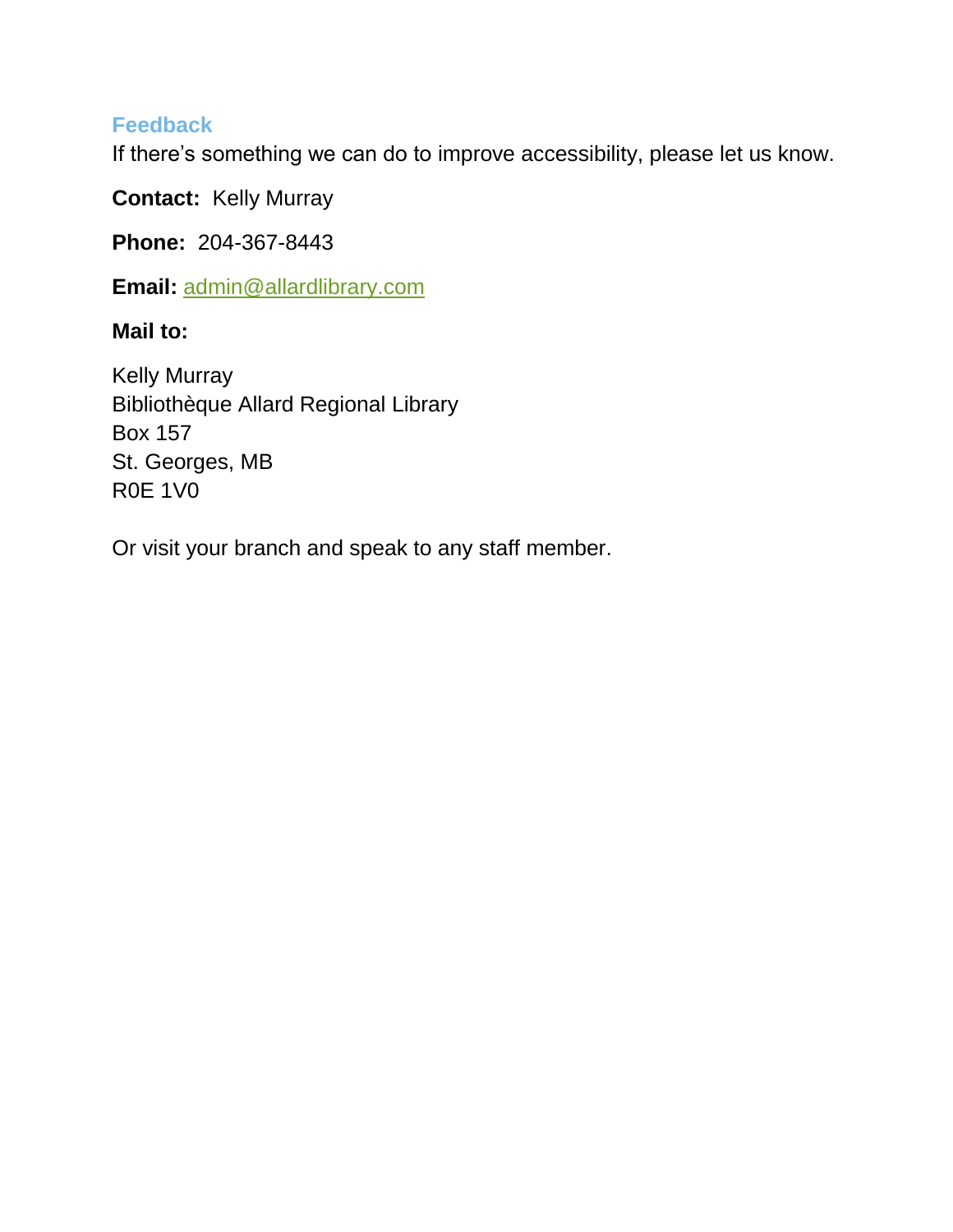#### **Feedback**

If there's something we can do to improve accessibility, please let us know.

**Contact:** Kelly Murray

**Phone:** 204-367-8443

**Email:** [admin@allardlibrary.com](mailto:admin@allardlibrary.com)

**Mail to:** 

Kelly Murray Bibliothèque Allard Regional Library Box 157 St. Georges, MB R0E 1V0

Or visit your branch and speak to any staff member.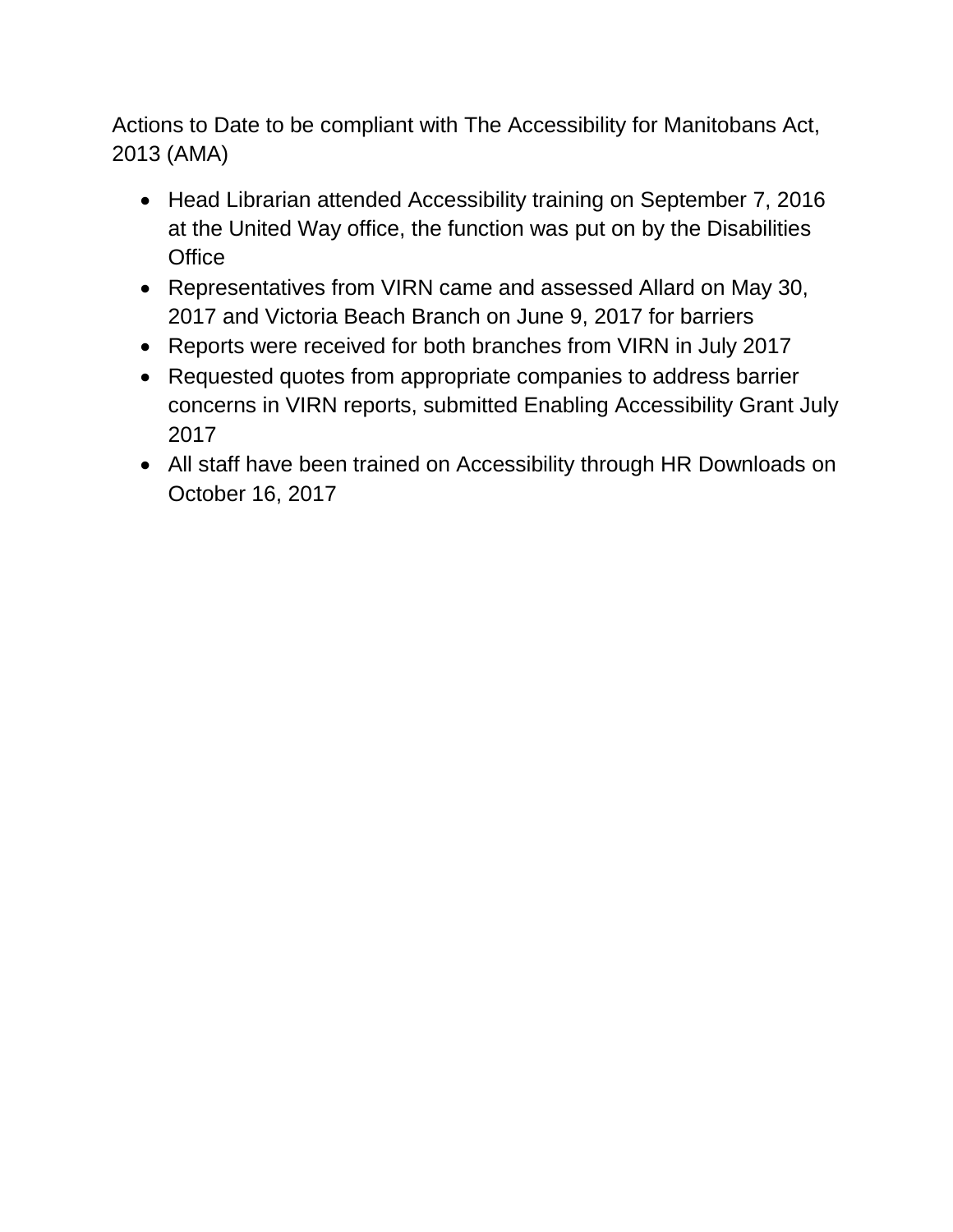Actions to Date to be compliant with The Accessibility for Manitobans Act, 2013 (AMA)

- Head Librarian attended Accessibility training on September 7, 2016 at the United Way office, the function was put on by the Disabilities **Office**
- Representatives from VIRN came and assessed Allard on May 30, 2017 and Victoria Beach Branch on June 9, 2017 for barriers
- Reports were received for both branches from VIRN in July 2017
- Requested quotes from appropriate companies to address barrier concerns in VIRN reports, submitted Enabling Accessibility Grant July 2017
- All staff have been trained on Accessibility through HR Downloads on October 16, 2017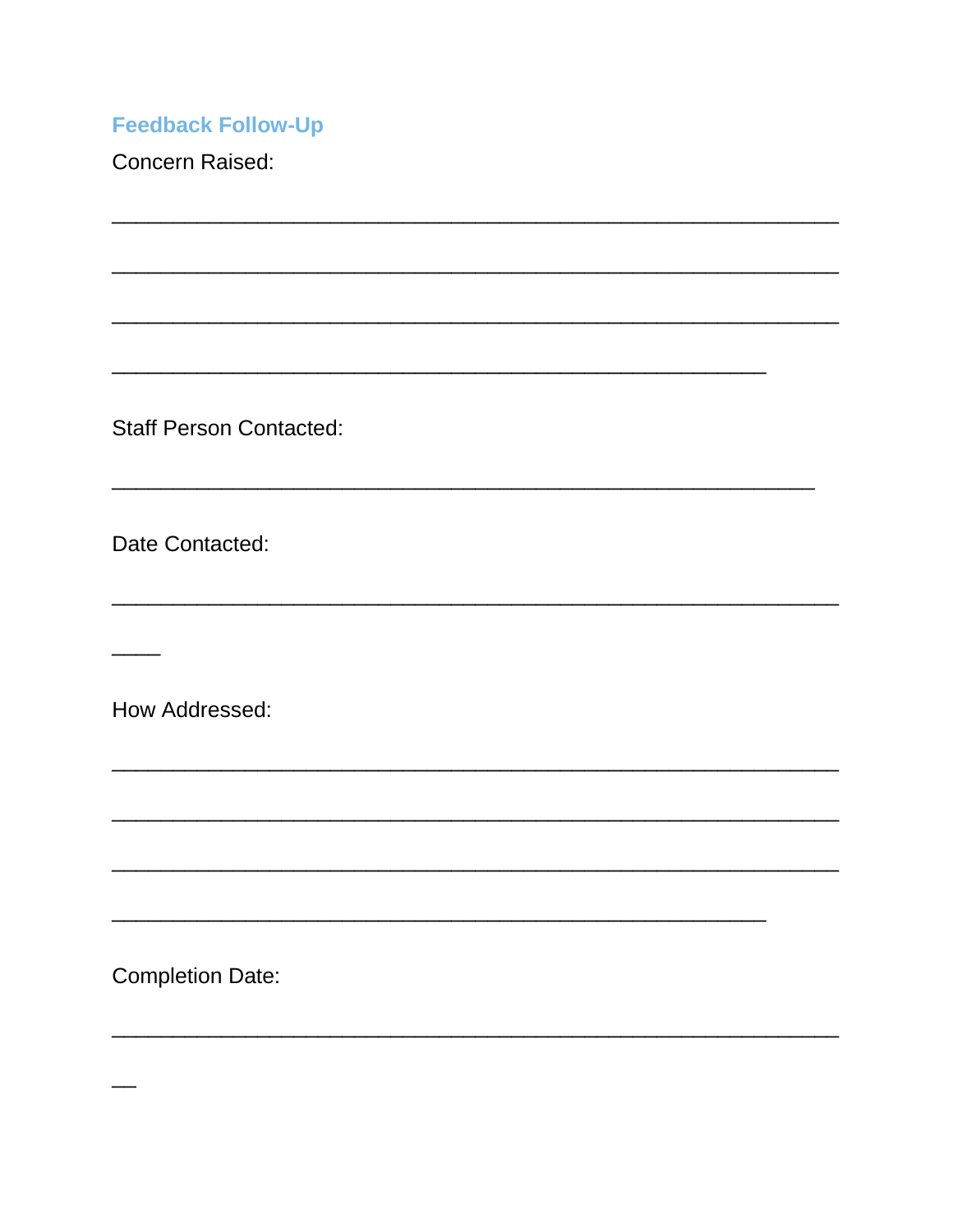**Feedback Follow-Up** 

**Concern Raised:** 

**Staff Person Contacted:** 

Date Contacted:

How Addressed:

**Completion Date:**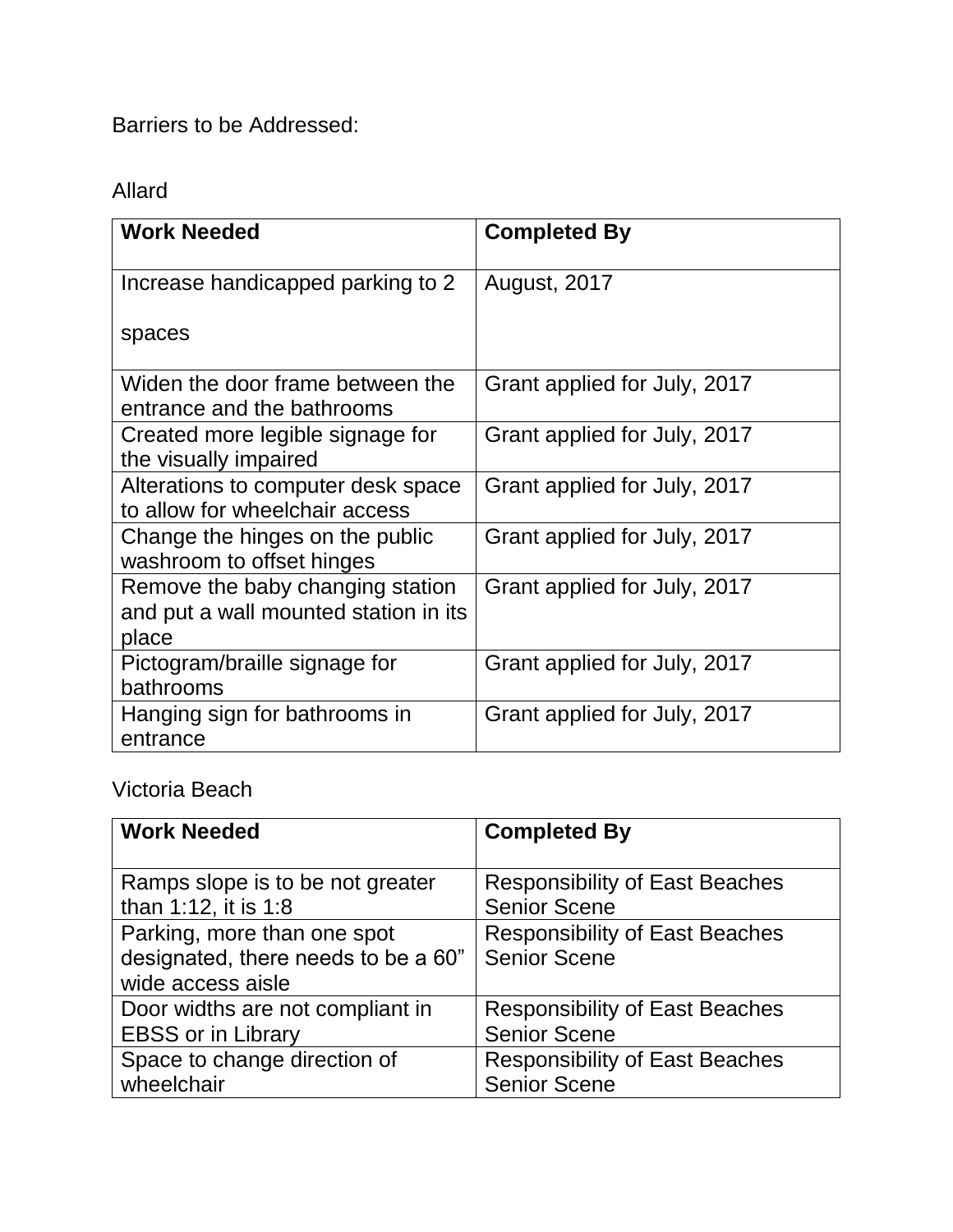Barriers to be Addressed:

## Allard

| <b>Work Needed</b>                                                                 | <b>Completed By</b>          |
|------------------------------------------------------------------------------------|------------------------------|
| Increase handicapped parking to 2                                                  | August, 2017                 |
| spaces                                                                             |                              |
| Widen the door frame between the<br>entrance and the bathrooms                     | Grant applied for July, 2017 |
| Created more legible signage for<br>the visually impaired                          | Grant applied for July, 2017 |
| Alterations to computer desk space<br>to allow for wheelchair access               | Grant applied for July, 2017 |
| Change the hinges on the public<br>washroom to offset hinges                       | Grant applied for July, 2017 |
| Remove the baby changing station<br>and put a wall mounted station in its<br>place | Grant applied for July, 2017 |
| Pictogram/braille signage for<br>bathrooms                                         | Grant applied for July, 2017 |
| Hanging sign for bathrooms in<br>entrance                                          | Grant applied for July, 2017 |

Victoria Beach

| <b>Work Needed</b>                                                                      | <b>Completed By</b>                                          |
|-----------------------------------------------------------------------------------------|--------------------------------------------------------------|
| Ramps slope is to be not greater                                                        | <b>Responsibility of East Beaches</b>                        |
| than 1:12, it is 1:8                                                                    | <b>Senior Scene</b>                                          |
| Parking, more than one spot<br>designated, there needs to be a 60"<br>wide access aisle | <b>Responsibility of East Beaches</b><br><b>Senior Scene</b> |
| Door widths are not compliant in                                                        | <b>Responsibility of East Beaches</b>                        |
| <b>EBSS or in Library</b>                                                               | <b>Senior Scene</b>                                          |
| Space to change direction of                                                            | <b>Responsibility of East Beaches</b>                        |
| wheelchair                                                                              | <b>Senior Scene</b>                                          |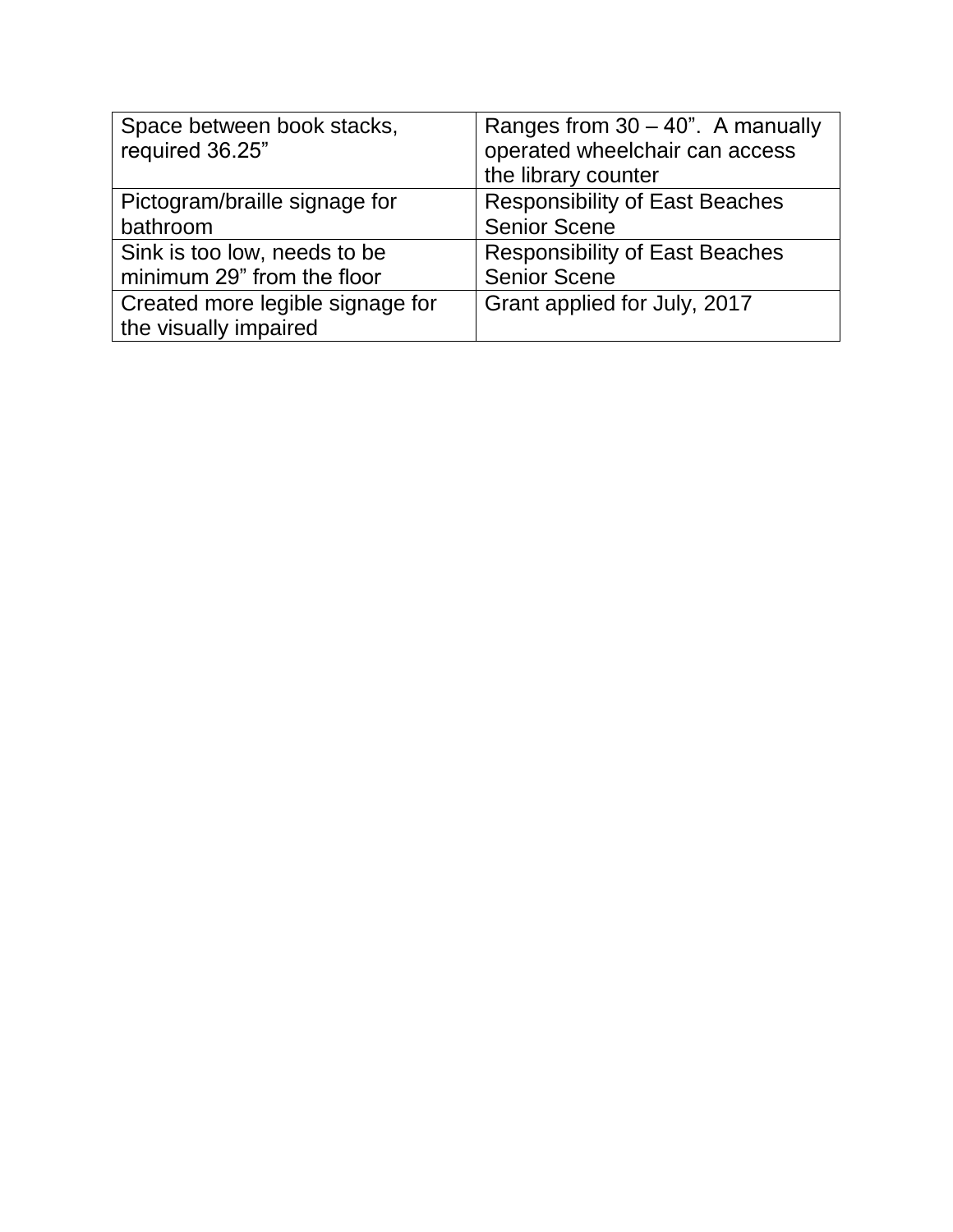| Space between book stacks,<br>required 36.25" | Ranges from $30 - 40$ ". A manually<br>operated wheelchair can access<br>the library counter |
|-----------------------------------------------|----------------------------------------------------------------------------------------------|
| Pictogram/braille signage for<br>bathroom     | <b>Responsibility of East Beaches</b><br><b>Senior Scene</b>                                 |
| Sink is too low, needs to be                  | <b>Responsibility of East Beaches</b>                                                        |
| minimum 29" from the floor                    | <b>Senior Scene</b>                                                                          |
| Created more legible signage for              | Grant applied for July, 2017                                                                 |
| the visually impaired                         |                                                                                              |